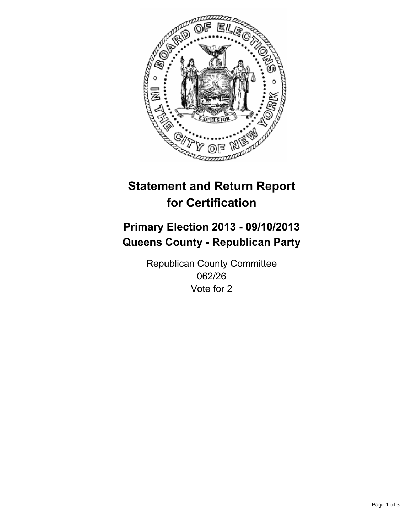

# **Statement and Return Report for Certification**

# **Primary Election 2013 - 09/10/2013 Queens County - Republican Party**

Republican County Committee 062/26 Vote for 2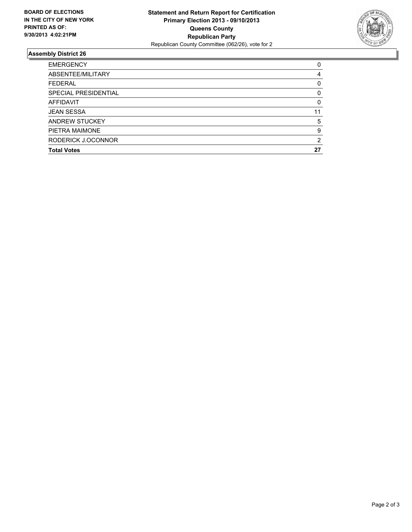

## **Assembly District 26**

| 0  |
|----|
| 4  |
| 0  |
| 0  |
| 0  |
| 11 |
| 5  |
| 9  |
| 2  |
| 27 |
|    |